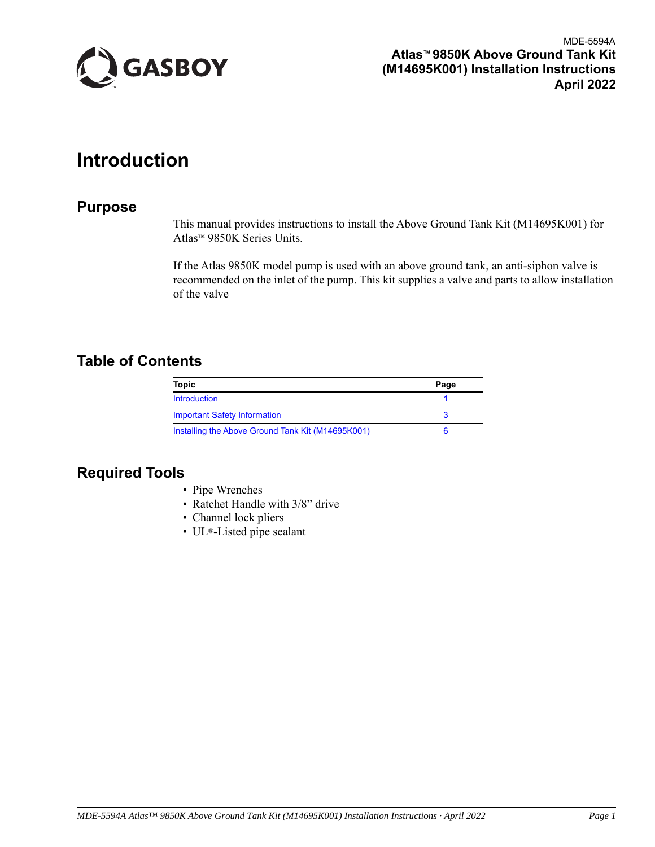

MDE-5594A **Atlas™ 9850K Above Ground Tank Kit (M14695K001) Installation Instructions April 2022**

# <span id="page-0-0"></span>**Introduction**

## **Purpose**

This manual provides instructions to install the Above Ground Tank Kit (M14695K001) for Atlas™ 9850K Series Units.

If the Atlas 9850K model pump is used with an above ground tank, an anti-siphon valve is recommended on the inlet of the pump. This kit supplies a valve and parts to allow installation of the valve

# **Table of Contents**

| Topic                                             | Page |
|---------------------------------------------------|------|
| <b>Introduction</b>                               |      |
| <b>Important Safety Information</b>               |      |
| Installing the Above Ground Tank Kit (M14695K001) | 6    |

# **Required Tools**

- Pipe Wrenches
- Ratchet Handle with 3/8" drive
- Channel lock pliers
- UL®-Listed pipe sealant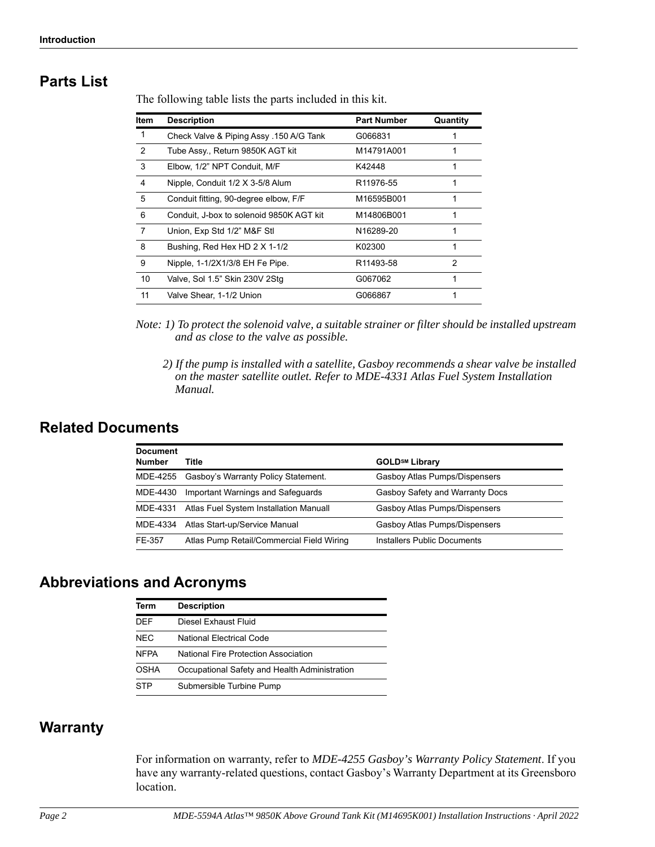# **Parts List**

The following table lists the parts included in this kit.

| <b>Item</b>   | <b>Description</b>                       | <b>Part Number</b>    | Quantity      |
|---------------|------------------------------------------|-----------------------|---------------|
| 1             | Check Valve & Piping Assy .150 A/G Tank  | G066831               |               |
| $\mathcal{P}$ | Tube Assy., Return 9850K AGT kit         | M14791A001            |               |
| 3             | Elbow, 1/2" NPT Conduit, M/F             | K42448                |               |
| 4             | Nipple, Conduit 1/2 X 3-5/8 Alum         | R <sub>11976-55</sub> |               |
| 5             | Conduit fitting, 90-degree elbow, F/F    | M16595B001            | 1             |
| 6             | Conduit, J-box to solenoid 9850K AGT kit | M14806B001            | 1             |
| 7             | Union, Exp Std 1/2" M&F Stl              | N16289-20             |               |
| 8             | Bushing, Red Hex HD 2 X 1-1/2            | K02300                | 1             |
| 9             | Nipple, 1-1/2X1/3/8 EH Fe Pipe.          | R <sub>11493-58</sub> | $\mathcal{P}$ |
| 10            | Valve, Sol 1.5" Skin 230V 2Stg           | G067062               | 1             |
| 11            | Valve Shear, 1-1/2 Union                 | G066867               |               |

*Note: 1) To protect the solenoid valve, a suitable strainer or filter should be installed upstream and as close to the valve as possible.*

*2) If the pump is installed with a satellite, Gasboy recommends a shear valve be installed on the master satellite outlet. Refer to MDE-4331 Atlas Fuel System Installation Manual.*

## **Related Documents**

| <b>Document</b> |                                           |                                   |
|-----------------|-------------------------------------------|-----------------------------------|
| <b>Number</b>   | Title                                     | <b>GOLD</b> <sup>SM</sup> Library |
| MDE-4255        | Gasboy's Warranty Policy Statement.       | Gasboy Atlas Pumps/Dispensers     |
| MDE-4430        | Important Warnings and Safeguards         | Gasboy Safety and Warranty Docs   |
| MDE-4331        | Atlas Fuel System Installation Manuall    | Gasboy Atlas Pumps/Dispensers     |
| MDE-4334        | Atlas Start-up/Service Manual             | Gasboy Atlas Pumps/Dispensers     |
| FE-357          | Atlas Pump Retail/Commercial Field Wiring | Installers Public Documents       |

# **Abbreviations and Acronyms**

| Term        | <b>Description</b>                            |
|-------------|-----------------------------------------------|
| DFF         | Diesel Exhaust Fluid                          |
| NFC.        | National Electrical Code                      |
| <b>NFPA</b> | National Fire Protection Association          |
| <b>OSHA</b> | Occupational Safety and Health Administration |
| STP         | Submersible Turbine Pump                      |

# **Warranty**

For information on warranty, refer to *MDE-4255 Gasboy's Warranty Policy Statement*. If you have any warranty-related questions, contact Gasboy's Warranty Department at its Greensboro location.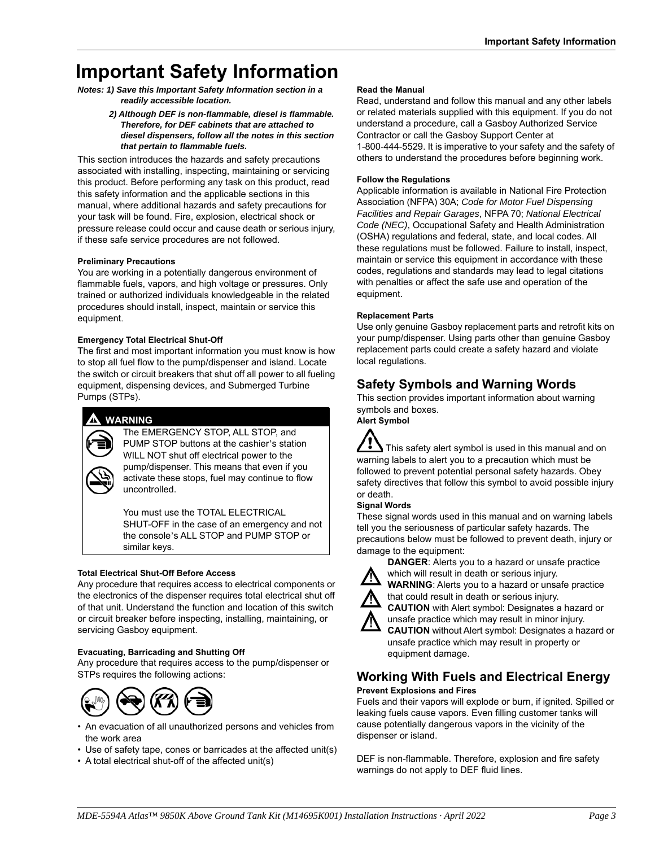# <span id="page-2-0"></span>**Important Safety Information**

*Notes: 1) Save this Important Safety Information section in a readily accessible location.*

#### *2) Although DEF is non-flammable, diesel is flammable. Therefore, for DEF cabinets that are attached to diesel dispensers, follow all the notes in this section that pertain to flammable fuels.*

This section introduces the hazards and safety precautions associated with installing, inspecting, maintaining or servicing this product. Before performing any task on this product, read this safety information and the applicable sections in this manual, where additional hazards and safety precautions for your task will be found. Fire, explosion, electrical shock or pressure release could occur and cause death or serious injury, if these safe service procedures are not followed.

#### **Preliminary Precautions**

You are working in a potentially dangerous environment of flammable fuels, vapors, and high voltage or pressures. Only trained or authorized individuals knowledgeable in the related procedures should install, inspect, maintain or service this equipment.

#### **Emergency Total Electrical Shut-Off**

The first and most important information you must know is how to stop all fuel flow to the pump/dispenser and island. Locate the switch or circuit breakers that shut off all power to all fueling equipment, dispensing devices, and Submerged Turbine Pumps (STPs).



The EMERGENCY STOP, ALL STOP, and PUMP STOP buttons at the cashier's station WILL NOT shut off electrical power to the pump/dispenser. This means that even if you activate these stops, fuel may continue to flow uncontrolled.

You must use the TOTAL ELECTRICAL SHUT-OFF in the case of an emergency and not the console's ALL STOP and PUMP STOP or similar keys.

#### **Total Electrical Shut-Off Before Access**

Any procedure that requires access to electrical components or the electronics of the dispenser requires total electrical shut off of that unit. Understand the function and location of this switch or circuit breaker before inspecting, installing, maintaining, or servicing Gasboy equipment.

#### **Evacuating, Barricading and Shutting Off**

Any procedure that requires access to the pump/dispenser or STPs requires the following actions:



- An evacuation of all unauthorized persons and vehicles from the work area
- Use of safety tape, cones or barricades at the affected unit(s)
- A total electrical shut-off of the affected unit(s)

#### **Read the Manual**

Read, understand and follow this manual and any other labels or related materials supplied with this equipment. If you do not understand a procedure, call a Gasboy Authorized Service Contractor or call the Gasboy Support Center at 1-800-444-5529. It is imperative to your safety and the safety of others to understand the procedures before beginning work.

#### **Follow the Regulations**

Applicable information is available in National Fire Protection Association (NFPA) 30A; *Code for Motor Fuel Dispensing Facilities and Repair Garages*, NFPA 70; *National Electrical Code (NEC)*, Occupational Safety and Health Administration (OSHA) regulations and federal, state, and local codes. All these regulations must be followed. Failure to install, inspect, maintain or service this equipment in accordance with these codes, regulations and standards may lead to legal citations with penalties or affect the safe use and operation of the equipment.

#### **Replacement Parts**

Use only genuine Gasboy replacement parts and retrofit kits on your pump/dispenser. Using parts other than genuine Gasboy replacement parts could create a safety hazard and violate local regulations.

## **Safety Symbols and Warning Words**

This section provides important information about warning symbols and boxes. **Alert Symbol** 

′!′ This safety alert symbol is used in this manual and on warning labels to alert you to a precaution which must be followed to prevent potential personal safety hazards. Obey safety directives that follow this symbol to avoid possible injury or death.

#### **Signal Words**

These signal words used in this manual and on warning labels tell you the seriousness of particular safety hazards. The precautions below must be followed to prevent death, injury or damage to the equipment:



**!**

which will result in death or serious injury. **WARNING**: Alerts you to a hazard or unsafe practice

that could result in death or serious injury. **CAUTION** with Alert symbol: Designates a hazard or unsafe practice which may result in minor injury.

**CAUTION** without Alert symbol: Designates a hazard or unsafe practice which may result in property or equipment damage.

#### **Working With Fuels and Electrical Energy Prevent Explosions and Fires**

Fuels and their vapors will explode or burn, if ignited. Spilled or leaking fuels cause vapors. Even filling customer tanks will cause potentially dangerous vapors in the vicinity of the dispenser or island.

DEF is non-flammable. Therefore, explosion and fire safety warnings do not apply to DEF fluid lines.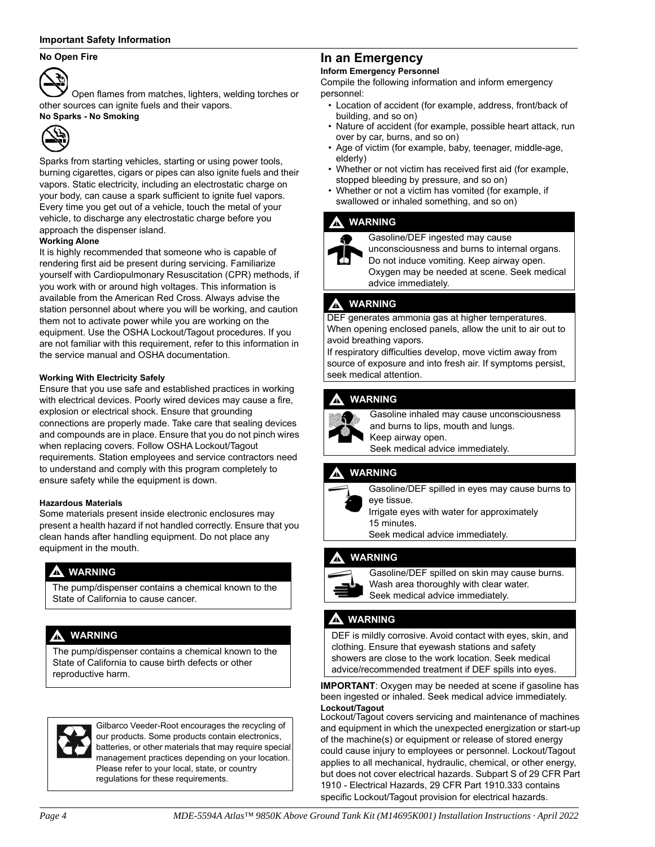#### **No Open Fire**



Open flames from matches, lighters, welding torches or other sources can ignite fuels and their vapors.

**No Sparks - No Smoking**



Sparks from starting vehicles, starting or using power tools, burning cigarettes, cigars or pipes can also ignite fuels and their vapors. Static electricity, including an electrostatic charge on your body, can cause a spark sufficient to ignite fuel vapors. Every time you get out of a vehicle, touch the metal of your vehicle, to discharge any electrostatic charge before you approach the dispenser island.

#### **Working Alone**

It is highly recommended that someone who is capable of rendering first aid be present during servicing. Familiarize yourself with Cardiopulmonary Resuscitation (CPR) methods, if you work with or around high voltages. This information is available from the American Red Cross. Always advise the station personnel about where you will be working, and caution them not to activate power while you are working on the equipment. Use the OSHA Lockout/Tagout procedures. If you are not familiar with this requirement, refer to this information in the service manual and OSHA documentation.

#### **Working With Electricity Safely**

Ensure that you use safe and established practices in working with electrical devices. Poorly wired devices may cause a fire, explosion or electrical shock. Ensure that grounding connections are properly made. Take care that sealing devices and compounds are in place. Ensure that you do not pinch wires when replacing covers. Follow OSHA Lockout/Tagout requirements. Station employees and service contractors need to understand and comply with this program completely to ensure safety while the equipment is down.

#### **Hazardous Materials**

Some materials present inside electronic enclosures may present a health hazard if not handled correctly. Ensure that you clean hands after handling equipment. Do not place any equipment in the mouth.

### **! WARNING**

The pump/dispenser contains a chemical known to the State of California to cause cancer.

## **! WARNING**

The pump/dispenser contains a chemical known to the State of California to cause birth defects or other reproductive harm.



Gilbarco Veeder-Root encourages the recycling of our products. Some products contain electronics, batteries, or other materials that may require special management practices depending on your location. Please refer to your local, state, or country regulations for these requirements.

## **In an Emergency**

#### **Inform Emergency Personnel**

Compile the following information and inform emergency personnel:

- Location of accident (for example, address, front/back of building, and so on)
- Nature of accident (for example, possible heart attack, run over by car, burns, and so on)
- Age of victim (for example, baby, teenager, middle-age, elderly)
- Whether or not victim has received first aid (for example, stopped bleeding by pressure, and so on)
- Whether or not a victim has vomited (for example, if swallowed or inhaled something, and so on)

## **! WARNING**



Gasoline/DEF ingested may cause

unconsciousness and burns to internal organs. Do not induce vomiting. Keep airway open. Oxygen may be needed at scene. Seek medical advice immediately.

## **! WARNING**

DEF generates ammonia gas at higher temperatures. When opening enclosed panels, allow the unit to air out to avoid breathing vapors.

If respiratory difficulties develop, move victim away from source of exposure and into fresh air. If symptoms persist, seek medical attention.

## **! WARNING**



Gasoline inhaled may cause unconsciousness and burns to lips, mouth and lungs. Keep airway open.

Seek medical advice immediately.

## **! WARNING**



Gasoline/DEF spilled in eyes may cause burns to eye tissue.

Irrigate eyes with water for approximately 15 minutes.

Seek medical advice immediately.

### **! WARNING**

Gasoline/DEF spilled on skin may cause burns. Wash area thoroughly with clear water.

Seek medical advice immediately.

## **! WARNING**

DEF is mildly corrosive. Avoid contact with eyes, skin, and clothing. Ensure that eyewash stations and safety showers are close to the work location. Seek medical advice/recommended treatment if DEF spills into eyes.

#### **IMPORTANT:** Oxygen may be needed at scene if gasoline has been ingested or inhaled. Seek medical advice immediately. **Lockout/Tagout**

Lockout/Tagout covers servicing and maintenance of machines and equipment in which the unexpected energization or start-up of the machine(s) or equipment or release of stored energy could cause injury to employees or personnel. Lockout/Tagout applies to all mechanical, hydraulic, chemical, or other energy, but does not cover electrical hazards. Subpart S of 29 CFR Part 1910 - Electrical Hazards, 29 CFR Part 1910.333 contains specific Lockout/Tagout provision for electrical hazards.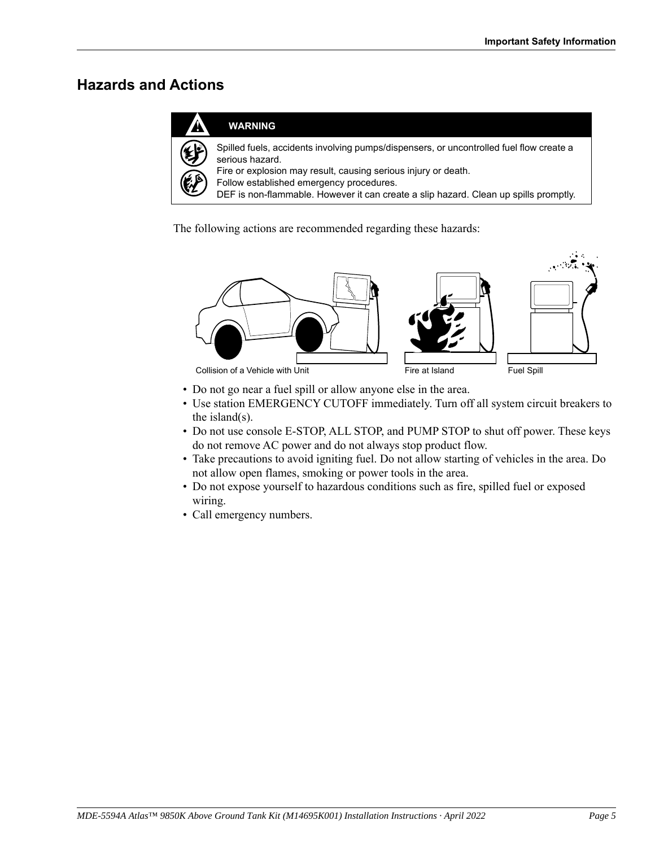# **Hazards and Actions**



## **WARNING**

Spilled fuels, accidents involving pumps/dispensers, or uncontrolled fuel flow create a serious hazard.

Fire or explosion may result, causing serious injury or death.

Follow established emergency procedures.

DEF is non-flammable. However it can create a slip hazard. Clean up spills promptly.

The following actions are recommended regarding these hazards:



- Do not go near a fuel spill or allow anyone else in the area.
- Use station EMERGENCY CUTOFF immediately. Turn off all system circuit breakers to the island(s).
- Do not use console E-STOP, ALL STOP, and PUMP STOP to shut off power. These keys do not remove AC power and do not always stop product flow.
- Take precautions to avoid igniting fuel. Do not allow starting of vehicles in the area. Do not allow open flames, smoking or power tools in the area.
- Do not expose yourself to hazardous conditions such as fire, spilled fuel or exposed wiring.
- Call emergency numbers.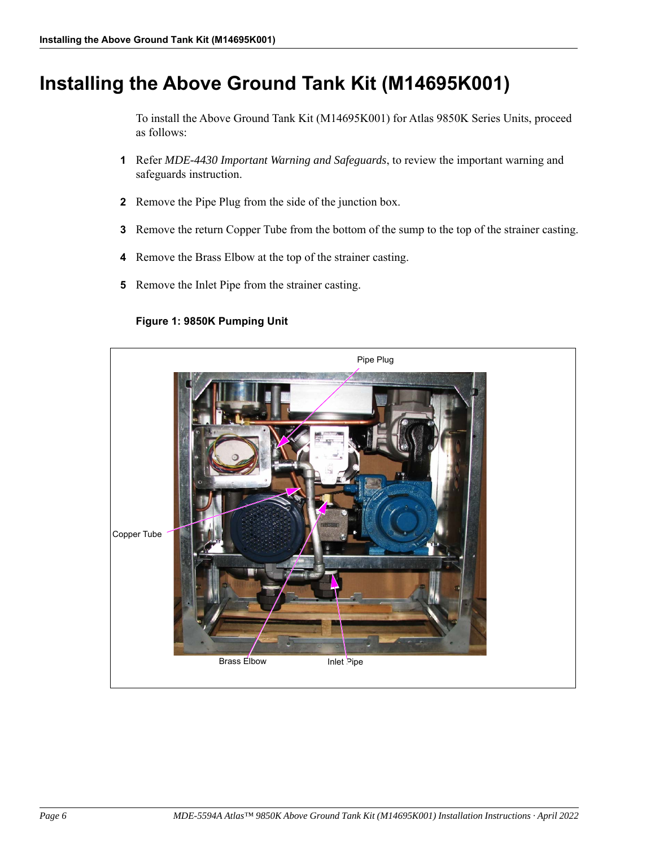# <span id="page-5-0"></span>**Installing the Above Ground Tank Kit (M14695K001)**

To install the Above Ground Tank Kit (M14695K001) for Atlas 9850K Series Units, proceed as follows:

- **1** Refer *MDE-4430 Important Warning and Safeguards*, to review the important warning and safeguards instruction.
- **2** Remove the Pipe Plug from the side of the junction box.
- **3** Remove the return Copper Tube from the bottom of the sump to the top of the strainer casting.
- **4** Remove the Brass Elbow at the top of the strainer casting.
- **5** Remove the Inlet Pipe from the strainer casting.

## **Figure 1: 9850K Pumping Unit**

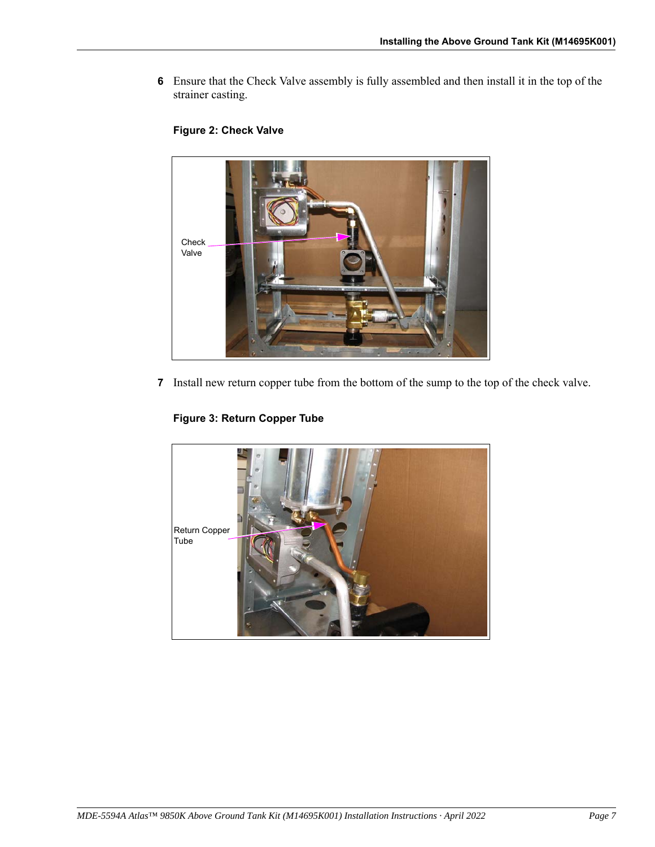**6** Ensure that the Check Valve assembly is fully assembled and then install it in the top of the strainer casting.



## **Figure 2: Check Valve**

**7** Install new return copper tube from the bottom of the sump to the top of the check valve.

**Figure 3: Return Copper Tube** 

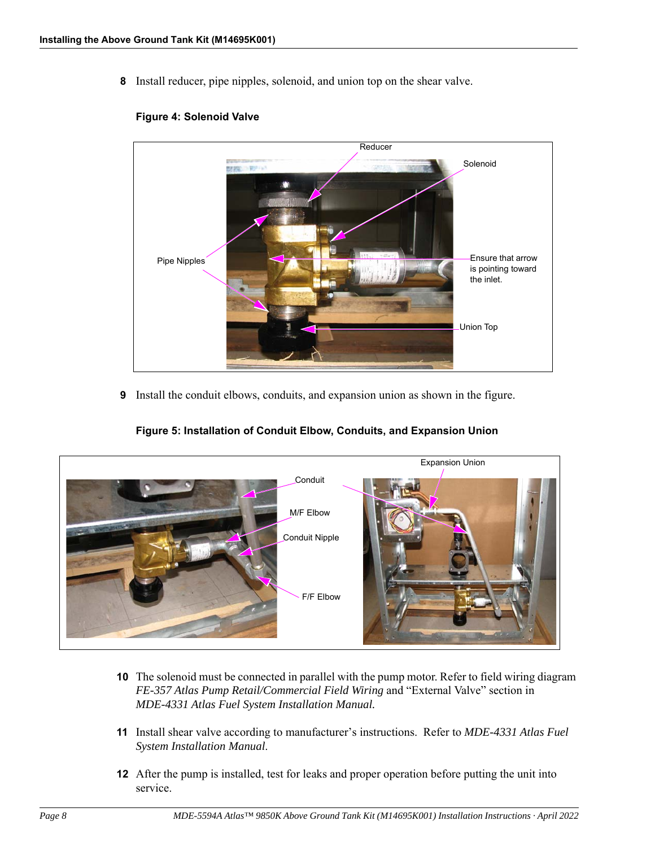**8** Install reducer, pipe nipples, solenoid, and union top on the shear valve.



### **Figure 4: Solenoid Valve**

**9** Install the conduit elbows, conduits, and expansion union as shown in the figure.



## **Figure 5: Installation of Conduit Elbow, Conduits, and Expansion Union**

- **10** The solenoid must be connected in parallel with the pump motor. Refer to field wiring diagram *FE-357 Atlas Pump Retail/Commercial Field Wiring* and "External Valve" section in *MDE-4331 Atlas Fuel System Installation Manual.*
- **11** Install shear valve according to manufacturer's instructions. Refer to *MDE-4331 Atlas Fuel System Installation Manual*.
- **12** After the pump is installed, test for leaks and proper operation before putting the unit into service.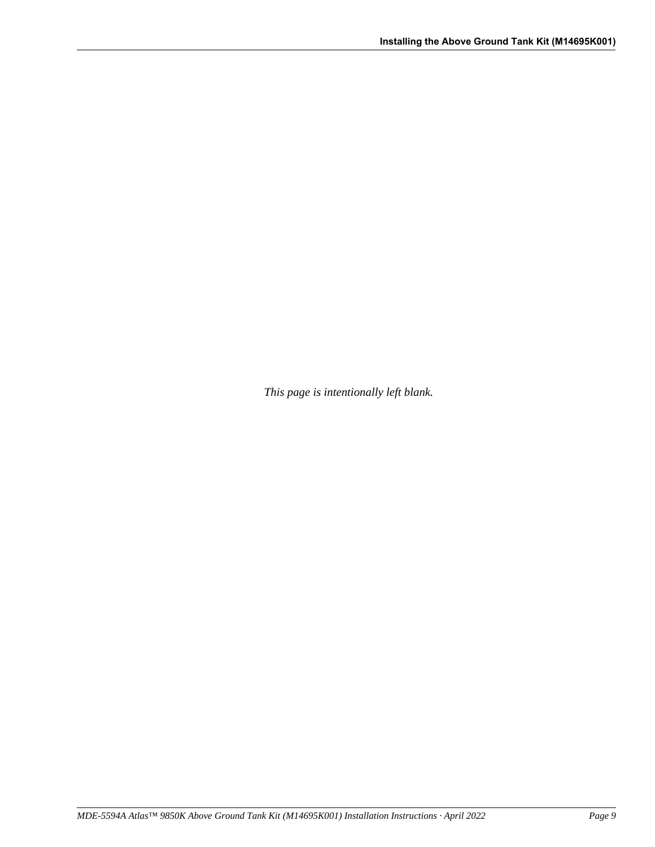*This page is intentionally left blank.*